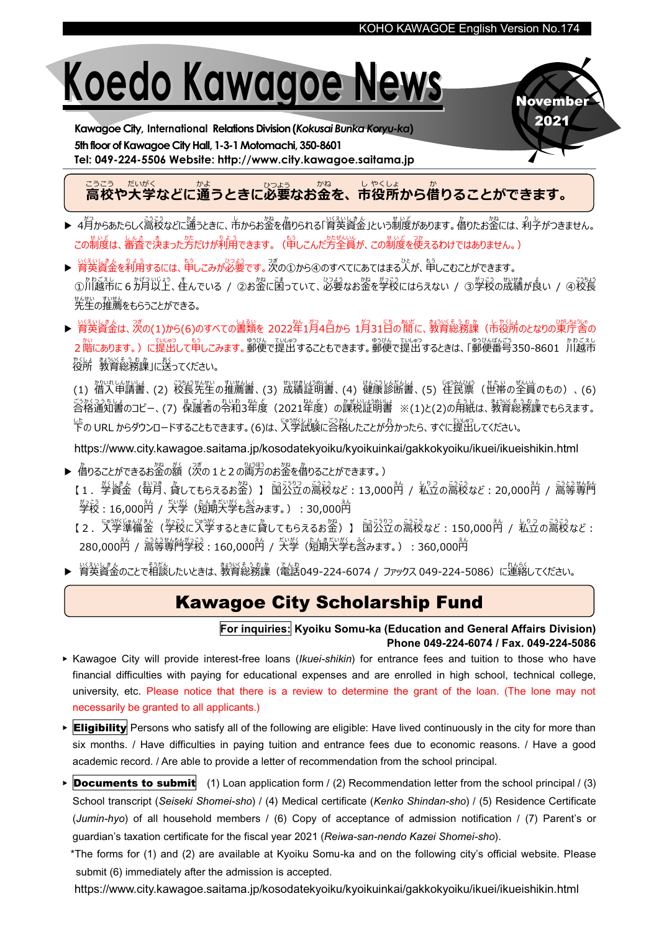**Novembe** 2021

# Koedo Kawagoe News

Kawagoe City, International Relations Division(Kokusai Bunka Koryu-ka) 5th floor of Kawagoe City Hall, 1-3-1 Motomachi, 350-8601 Tel: 049-224-5506 Website: http://www.city.kawagoe.saitama.jp

## こっこってい。<br>高校や大学などに通うときに必要なお金を、市役所から借りることができます。

- ▶ 4月からあたらしく高校などに適うときに、市からお签を借りられる「管英資金」という制度があります。借りたお签には、利字がつきません。 この制度は、審査で決まった芳だけが利用できます。(申しこんだ方全員が、この制度を使えるわけではありません。)
- ▶ 育英資金を利用するには、昔しこみが必要です。次の①から④のすべてにあてはまる人が、申しこむことができます。 ①川越市に6ヵ月以上、 住んでいる / ②お金に困っていて、 <sup>いる</sup>きなお金を学校にはらえない / ③ 学校の成績が良い / ④校長 まんせい<br>先生の推薦をもらうことができる。
- ▶ 育英資金は、茨の(1)から(6)のすべての書類を 2022年1月4日から 1月31日の間に、教育総務課(市役所のとなりの策庁舎の った。<br>2階にあります。) に提出して申しこみます。郵便で提出することもできます。郵便で提出するときは、「郵便番号350-8601 川越市 役所 や く し ょ 教育 きょういく 総務課 そ う む か 」に送 お く ってください。

(1) 借入 かりいれ 申請書 しんせ い し ょ 、(2) 校長 こうちょう 先生 せんせい の推薦書 すいせんしょ 、(3) 成績 せいせき 証明書 しょうめいしょ 、(4) 健康 け ん こ う 診断書 し ん だ ん し ょ 、(5) 住民票 じゅうみんひょう (世帯 せ た い の全員 ぜんいん のもの)、(6) ごかくつきしき。<br>合格通知書のコピー、(7) 保護者の令和3年度(2021年度)の課税証明書 ※(1)と(2)の用紙は、教育総務課でもらえます。 した<br>下の URL からダウンロードすることもできます。 (6)は、入学試験に合格したことが分かったら、すぐに提出してください。

<https://www.city.kawagoe.saitama.jp/kosodatekyoiku/kyoikuinkai/gakkokyoiku/ikuei/ikueishikin.html>

- ▶ 借りることができるお金の額(次の1と2の両方のお金を借りることができます。) 【1.学 が く 資金 し き ん (毎月 まいつき 、貸 か してもらえるお金 かね )】 国 こ っ 公立 こ う り つ の高校 こ う こ う など:13,000円 えん / 私立 し り つ の高校 こ う こ う など:20,000円 えん / 高等 こ う と う 専門 せんもん *塾設* : 16,000酋 / 大学(短期大学も含みます。) : 30,000酋
	- 【2.【学樂罐備釜(學設に大学するときに貸してもらえるお签)】 国公立の高校など: 150,000的 / 私立の高校など: 280,000<mark>种 / 蒿琴背 學</mark>校 : 160,000<mark>种 / 大学(短期大学も含みます。) : 360,000</mark>种
- ▶ 営英資金のことで相談したいときは、教育総務課(電話049-224-6074 / ファックス 049-224-5086)に連絡してください。

## Kawagoe City Scholarship Fund

#### For inquiries: Kyoiku Somu-ka (Education and General Affairs Division) Phone 049-224-6074 / Fax. 049-224-5086

- ▶ Kawagoe City will provide interest-free loans (Ikuei-shikin) for entrance fees and tuition to those who have financial difficulties with paying for educational expenses and are enrolled in high school, technical college, university, etc. Please notice that there is a review to determine the grant of the loan. (The lone may not necessarily be granted to all applicants.)
- ▶ Eligibility Persons who satisfy all of the following are eligible: Have lived continuously in the city for more than six months. / Have difficulties in paying tuition and entrance fees due to economic reasons. / Have a good academic record. / Are able to provide a letter of recommendation from the school principal.
- **Documents to submit** (1) Loan application form  $/(2)$  Recommendation letter from the school principal  $/(3)$ School transcript (Seiseki Shomei-sho) / (4) Medical certificate (Kenko Shindan-sho) / (5) Residence Certificate (Jumin-hyo) of all household members / (6) Copy of acceptance of admission notification / (7) Parent's or guardian's taxation certificate for the fiscal year 2021 (Reiwa-san-nendo Kazei Shomei-sho).

\*The forms for (1) and (2) are available at Kyoiku Somu-ka and on the following city's official website. Please submit (6) immediately after the admission is accepted.

<https://www.city.kawagoe.saitama.jp/kosodatekyoiku/kyoikuinkai/gakkokyoiku/ikuei/ikueishikin.html>